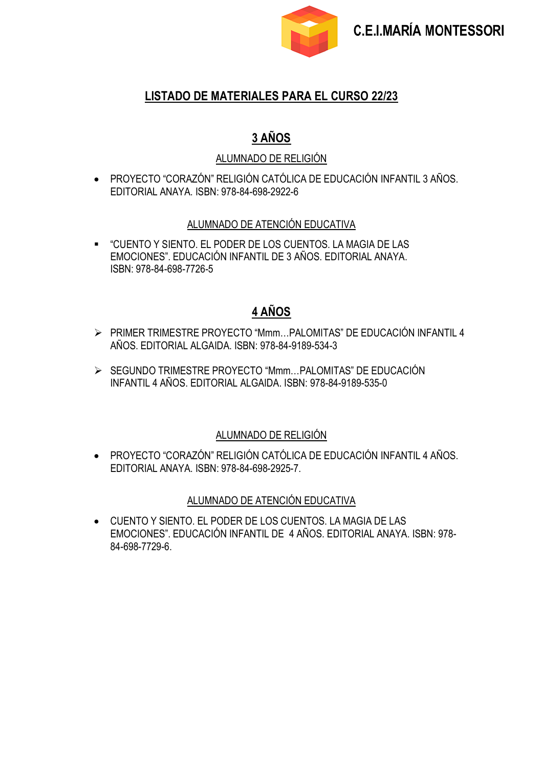

### **LISTADO DE MATERIALES PARA EL CURSO 22/23**

## **3 AÑOS**

#### ALUMNADO DE RELIGIÓN

• PROYECTO "CORAZÓN" RELIGIÓN CATÓLICA DE EDUCACIÓN INFANTIL 3 AÑOS. EDITORIAL ANAYA. ISBN: 978-84-698-2922-6

#### ALUMNADO DE ATENCIÓN EDUCATIVA

▪ "CUENTO Y SIENTO. EL PODER DE LOS CUENTOS. LA MAGIA DE LAS EMOCIONES". EDUCACIÓN INFANTIL DE 3 AÑOS. EDITORIAL ANAYA. ISBN: 978-84-698-7726-5

## **4 AÑOS**

- ➢ PRIMER TRIMESTRE PROYECTO "Mmm…PALOMITAS" DE EDUCACIÓN INFANTIL 4 AÑOS. EDITORIAL ALGAIDA. ISBN: 978-84-9189-534-3
- ➢ SEGUNDO TRIMESTRE PROYECTO "Mmm…PALOMITAS" DE EDUCACIÓN INFANTIL 4 AÑOS. EDITORIAL ALGAIDA. ISBN: 978-84-9189-535-0

#### ALUMNADO DE RELIGIÓN

• PROYECTO "CORAZÓN" RELIGIÓN CATÓLICA DE EDUCACIÓN INFANTIL 4 AÑOS. EDITORIAL ANAYA. ISBN: 978-84-698-2925-7.

#### ALUMNADO DE ATENCIÓN EDUCATIVA

• CUENTO Y SIENTO. EL PODER DE LOS CUENTOS. LA MAGIA DE LAS EMOCIONES". EDUCACIÓN INFANTIL DE 4 AÑOS. EDITORIAL ANAYA. ISBN: 978- 84-698-7729-6.